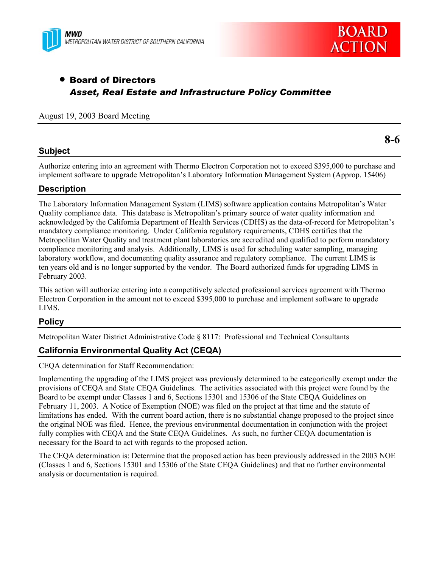



**8-6** 

# • Board of Directors *Asset, Real Estate and Infrastructure Policy Committee*

#### August 19, 2003 Board Meeting

## **Subject**

Authorize entering into an agreement with Thermo Electron Corporation not to exceed \$395,000 to purchase and implement software to upgrade Metropolitan's Laboratory Information Management System (Approp. 15406)

#### **Description**

The Laboratory Information Management System (LIMS) software application contains Metropolitan's Water Quality compliance data. This database is Metropolitan's primary source of water quality information and acknowledged by the California Department of Health Services (CDHS) as the data-of-record for Metropolitan's mandatory compliance monitoring. Under California regulatory requirements, CDHS certifies that the Metropolitan Water Quality and treatment plant laboratories are accredited and qualified to perform mandatory compliance monitoring and analysis. Additionally, LIMS is used for scheduling water sampling, managing laboratory workflow, and documenting quality assurance and regulatory compliance. The current LIMS is ten years old and is no longer supported by the vendor. The Board authorized funds for upgrading LIMS in February 2003.

This action will authorize entering into a competitively selected professional services agreement with Thermo Electron Corporation in the amount not to exceed \$395,000 to purchase and implement software to upgrade LIMS.

#### **Policy**

Metropolitan Water District Administrative Code § 8117: Professional and Technical Consultants

# **California Environmental Quality Act (CEQA)**

CEQA determination for Staff Recommendation:

Implementing the upgrading of the LIMS project was previously determined to be categorically exempt under the provisions of CEQA and State CEQA Guidelines. The activities associated with this project were found by the Board to be exempt under Classes 1 and 6, Sections 15301 and 15306 of the State CEQA Guidelines on February 11, 2003. A Notice of Exemption (NOE) was filed on the project at that time and the statute of limitations has ended. With the current board action, there is no substantial change proposed to the project since the original NOE was filed. Hence, the previous environmental documentation in conjunction with the project fully complies with CEQA and the State CEQA Guidelines. As such, no further CEQA documentation is necessary for the Board to act with regards to the proposed action.

The CEQA determination is: Determine that the proposed action has been previously addressed in the 2003 NOE (Classes 1 and 6, Sections 15301 and 15306 of the State CEQA Guidelines) and that no further environmental analysis or documentation is required.